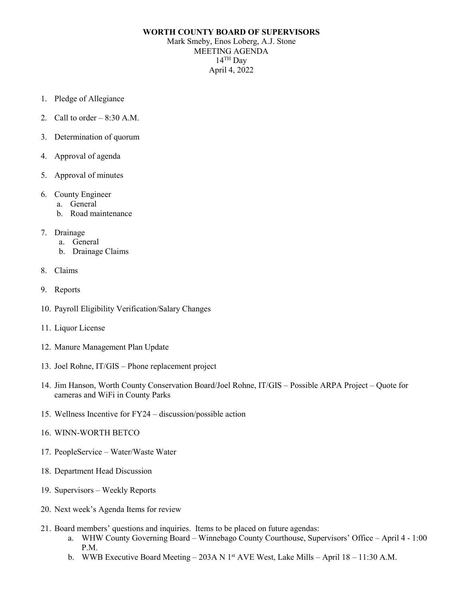## **WORTH COUNTY BOARD OF SUPERVISORS**

Mark Smeby, Enos Loberg, A.J. Stone MEETING AGENDA  $14$ <sup>TH</sup> Day April 4, 2022

- 1. Pledge of Allegiance
- 2. Call to order  $-8:30$  A.M.
- 3. Determination of quorum
- 4. Approval of agenda
- 5. Approval of minutes
- 6. County Engineer
	- a. General
	- b. Road maintenance
- 7. Drainage
	- a. General
	- b. Drainage Claims
- 8. Claims
- 9. Reports
- 10. Payroll Eligibility Verification/Salary Changes
- 11. Liquor License
- 12. Manure Management Plan Update
- 13. Joel Rohne, IT/GIS Phone replacement project
- 14. Jim Hanson, Worth County Conservation Board/Joel Rohne, IT/GIS Possible ARPA Project Quote for cameras and WiFi in County Parks
- 15. Wellness Incentive for FY24 discussion/possible action
- 16. WINN-WORTH BETCO
- 17. PeopleService Water/Waste Water
- 18. Department Head Discussion
- 19. Supervisors Weekly Reports
- 20. Next week's Agenda Items for review
- 21. Board members' questions and inquiries. Items to be placed on future agendas:
	- a. WHW County Governing Board Winnebago County Courthouse, Supervisors' Office April 4 1:00 P.M.
	- b. WWB Executive Board Meeting 203A N 1<sup>st</sup> AVE West, Lake Mills April 18 11:30 A.M.